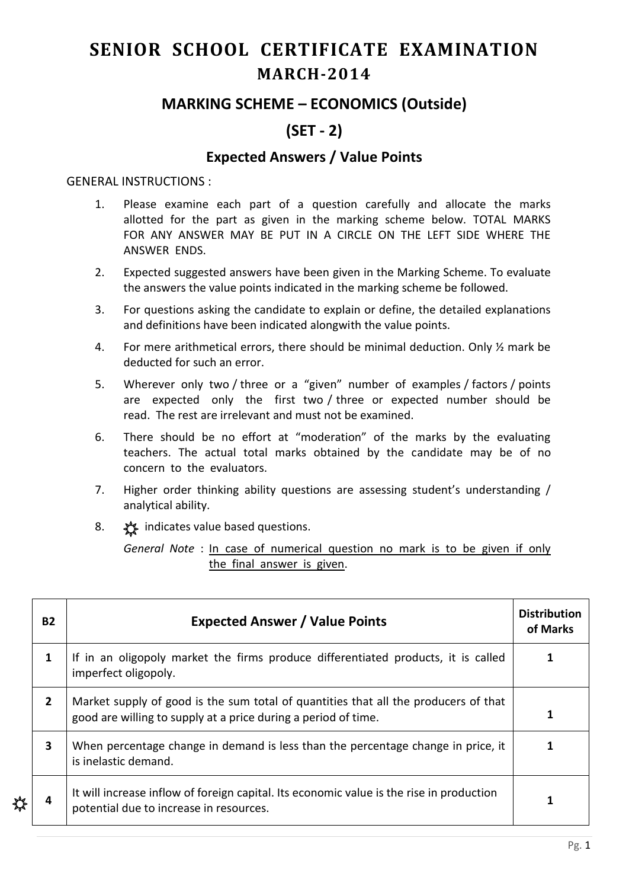# **SENIOR SCHOOL CERTIFICATE EXAMINATION MARCH-2014**

## **MARKING SCHEME – ECONOMICS (Outside)**

# **(SET - 2)**

### **Expected Answers / Value Points**

#### GENERAL INSTRUCTIONS :

- 1. Please examine each part of a question carefully and allocate the marks allotted for the part as given in the marking scheme below. TOTAL MARKS FOR ANY ANSWER MAY BE PUT IN A CIRCLE ON THE LEFT SIDE WHERE THE ANSWER ENDS.
- 2. Expected suggested answers have been given in the Marking Scheme. To evaluate the answers the value points indicated in the marking scheme be followed.
- 3. For questions asking the candidate to explain or define, the detailed explanations and definitions have been indicated alongwith the value points.
- 4. For mere arithmetical errors, there should be minimal deduction. Only ½ mark be deducted for such an error.
- 5. Wherever only two / three or a "given" number of examples / factors / points are expected only the first two / three or expected number should be read. The rest are irrelevant and must not be examined.
- 6. There should be no effort at "moderation" of the marks by the evaluating teachers. The actual total marks obtained by the candidate may be of no concern to the evaluators.
- 7. Higher order thinking ability questions are assessing student's understanding / analytical ability.
- 8.  $\frac{1}{2}$  indicates value based questions.

₩

*General Note* : In case of numerical question no mark is to be given if only the final answer is given.

| <b>B2</b>               | <b>Expected Answer / Value Points</b>                                                                                                                 | <b>Distribution</b><br>of Marks |
|-------------------------|-------------------------------------------------------------------------------------------------------------------------------------------------------|---------------------------------|
| 1                       | If in an oligopoly market the firms produce differentiated products, it is called<br>imperfect oligopoly.                                             |                                 |
| $\overline{2}$          | Market supply of good is the sum total of quantities that all the producers of that<br>good are willing to supply at a price during a period of time. |                                 |
| $\overline{\mathbf{3}}$ | When percentage change in demand is less than the percentage change in price, it<br>is inelastic demand.                                              |                                 |
| 4                       | It will increase inflow of foreign capital. Its economic value is the rise in production<br>potential due to increase in resources.                   |                                 |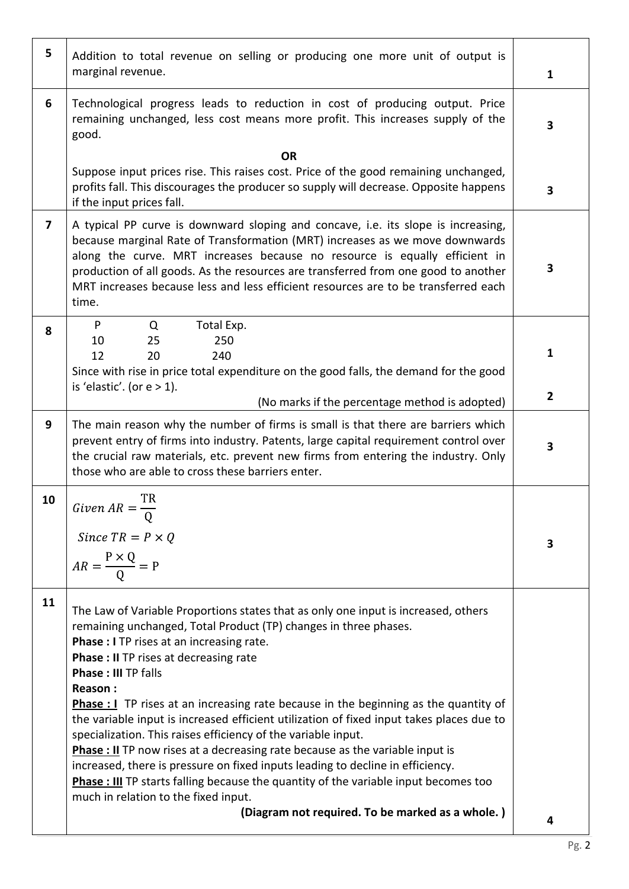| 5                       | Addition to total revenue on selling or producing one more unit of output is<br>marginal revenue.                                                                                                                                                                                                                                                                                                                                                                                                                                                                                                                                                                                                                                                                                                                           | $\mathbf{1}$   |
|-------------------------|-----------------------------------------------------------------------------------------------------------------------------------------------------------------------------------------------------------------------------------------------------------------------------------------------------------------------------------------------------------------------------------------------------------------------------------------------------------------------------------------------------------------------------------------------------------------------------------------------------------------------------------------------------------------------------------------------------------------------------------------------------------------------------------------------------------------------------|----------------|
| 6                       | Technological progress leads to reduction in cost of producing output. Price<br>remaining unchanged, less cost means more profit. This increases supply of the<br>good.                                                                                                                                                                                                                                                                                                                                                                                                                                                                                                                                                                                                                                                     | 3              |
|                         | <b>OR</b>                                                                                                                                                                                                                                                                                                                                                                                                                                                                                                                                                                                                                                                                                                                                                                                                                   |                |
|                         | Suppose input prices rise. This raises cost. Price of the good remaining unchanged,<br>profits fall. This discourages the producer so supply will decrease. Opposite happens<br>if the input prices fall.                                                                                                                                                                                                                                                                                                                                                                                                                                                                                                                                                                                                                   | 3              |
| $\overline{\mathbf{z}}$ | A typical PP curve is downward sloping and concave, i.e. its slope is increasing,<br>because marginal Rate of Transformation (MRT) increases as we move downwards<br>along the curve. MRT increases because no resource is equally efficient in<br>production of all goods. As the resources are transferred from one good to another<br>MRT increases because less and less efficient resources are to be transferred each<br>time.                                                                                                                                                                                                                                                                                                                                                                                        | 3              |
| 8                       | Total Exp.<br>P<br>Q<br>250<br>10<br>25<br>12<br>240<br>20<br>Since with rise in price total expenditure on the good falls, the demand for the good<br>is 'elastic'. (or $e > 1$ ).                                                                                                                                                                                                                                                                                                                                                                                                                                                                                                                                                                                                                                         | 1              |
|                         | (No marks if the percentage method is adopted)                                                                                                                                                                                                                                                                                                                                                                                                                                                                                                                                                                                                                                                                                                                                                                              | $\overline{2}$ |
| 9                       | The main reason why the number of firms is small is that there are barriers which<br>prevent entry of firms into industry. Patents, large capital requirement control over<br>the crucial raw materials, etc. prevent new firms from entering the industry. Only<br>those who are able to cross these barriers enter.                                                                                                                                                                                                                                                                                                                                                                                                                                                                                                       | 3              |
| 10                      | ТR<br>Given $AR = \frac{1}{Q}$<br>Since $TR = P \times Q$<br>$AR = \frac{P \times Q}{Q} = P$                                                                                                                                                                                                                                                                                                                                                                                                                                                                                                                                                                                                                                                                                                                                | 3              |
| 11                      | The Law of Variable Proportions states that as only one input is increased, others<br>remaining unchanged, Total Product (TP) changes in three phases.<br>Phase : I TP rises at an increasing rate.<br><b>Phase : II TP rises at decreasing rate</b><br><b>Phase: III TP falls</b><br>Reason:<br><b>Phase : I</b> TP rises at an increasing rate because in the beginning as the quantity of<br>the variable input is increased efficient utilization of fixed input takes places due to<br>specialization. This raises efficiency of the variable input.<br><b>Phase : II</b> TP now rises at a decreasing rate because as the variable input is<br>increased, there is pressure on fixed inputs leading to decline in efficiency.<br>Phase : III TP starts falling because the quantity of the variable input becomes too |                |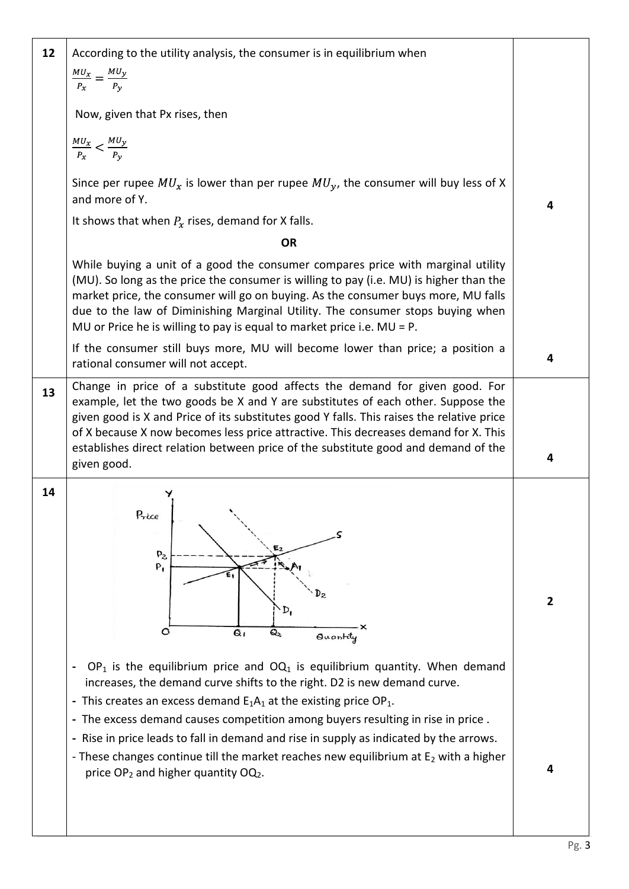| 12 | According to the utility analysis, the consumer is in equilibrium when                                                                                                                                                                                                                                                                                                                                                                                                                                                                                                                 |                |
|----|----------------------------------------------------------------------------------------------------------------------------------------------------------------------------------------------------------------------------------------------------------------------------------------------------------------------------------------------------------------------------------------------------------------------------------------------------------------------------------------------------------------------------------------------------------------------------------------|----------------|
|    | $\frac{MU_x}{P_x} = \frac{MU_y}{P_v}$                                                                                                                                                                                                                                                                                                                                                                                                                                                                                                                                                  |                |
|    | Now, given that Px rises, then                                                                                                                                                                                                                                                                                                                                                                                                                                                                                                                                                         |                |
|    | $\frac{MU_x}{P_x} < \frac{MU_y}{P_y}$                                                                                                                                                                                                                                                                                                                                                                                                                                                                                                                                                  |                |
|    | Since per rupee $MU_x$ is lower than per rupee $MU_y$ , the consumer will buy less of X<br>and more of Y.                                                                                                                                                                                                                                                                                                                                                                                                                                                                              | 4              |
|    | It shows that when $P_x$ rises, demand for X falls.                                                                                                                                                                                                                                                                                                                                                                                                                                                                                                                                    |                |
|    | <b>OR</b>                                                                                                                                                                                                                                                                                                                                                                                                                                                                                                                                                                              |                |
|    | While buying a unit of a good the consumer compares price with marginal utility<br>(MU). So long as the price the consumer is willing to pay (i.e. MU) is higher than the<br>market price, the consumer will go on buying. As the consumer buys more, MU falls<br>due to the law of Diminishing Marginal Utility. The consumer stops buying when<br>MU or Price he is willing to pay is equal to market price i.e. $MU = P$ .                                                                                                                                                          |                |
|    | If the consumer still buys more, MU will become lower than price; a position a<br>rational consumer will not accept.                                                                                                                                                                                                                                                                                                                                                                                                                                                                   | 4              |
| 13 | Change in price of a substitute good affects the demand for given good. For<br>example, let the two goods be X and Y are substitutes of each other. Suppose the<br>given good is X and Price of its substitutes good Y falls. This raises the relative price<br>of X because X now becomes less price attractive. This decreases demand for X. This<br>establishes direct relation between price of the substitute good and demand of the                                                                                                                                              | 4              |
|    | given good.                                                                                                                                                                                                                                                                                                                                                                                                                                                                                                                                                                            |                |
| 14 | Price<br>$P_{2}$<br>$P_{1}$<br>$\mathbf{D}_2$<br>D,<br>$\circ$<br>$Q_1$<br>Q2<br>Quantily                                                                                                                                                                                                                                                                                                                                                                                                                                                                                              | $\overline{2}$ |
|    | $OP_1$ is the equilibrium price and $OQ_1$ is equilibrium quantity. When demand<br>increases, the demand curve shifts to the right. D2 is new demand curve.<br>- This creates an excess demand $E_1A_1$ at the existing price OP <sub>1</sub> .<br>- The excess demand causes competition among buyers resulting in rise in price.<br>- Rise in price leads to fall in demand and rise in supply as indicated by the arrows.<br>- These changes continue till the market reaches new equilibrium at $E_2$ with a higher<br>price OP <sub>2</sub> and higher quantity OQ <sub>2</sub> . | 4              |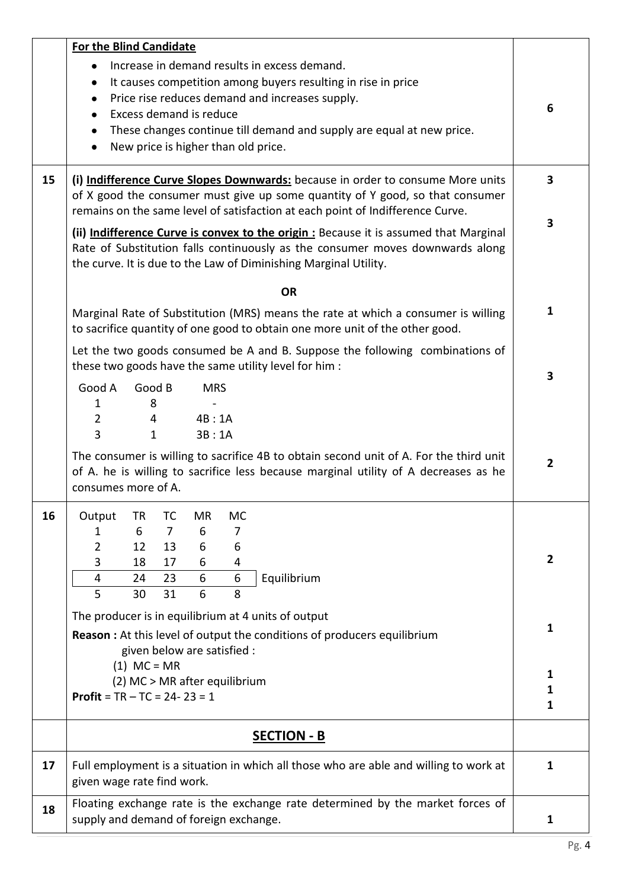| 15 | <b>For the Blind Candidate</b><br>Increase in demand results in excess demand.<br>$\bullet$<br>It causes competition among buyers resulting in rise in price<br>$\bullet$<br>Price rise reduces demand and increases supply.<br>Excess demand is reduce<br>These changes continue till demand and supply are equal at new price.<br>٠<br>New price is higher than old price.<br>$\bullet$<br>(i) Indifference Curve Slopes Downwards: because in order to consume More units | 6<br>$\overline{\mathbf{3}}$ |
|----|------------------------------------------------------------------------------------------------------------------------------------------------------------------------------------------------------------------------------------------------------------------------------------------------------------------------------------------------------------------------------------------------------------------------------------------------------------------------------|------------------------------|
|    | of X good the consumer must give up some quantity of Y good, so that consumer<br>remains on the same level of satisfaction at each point of Indifference Curve.                                                                                                                                                                                                                                                                                                              | 3                            |
|    | (ii) Indifference Curve is convex to the origin : Because it is assumed that Marginal<br>Rate of Substitution falls continuously as the consumer moves downwards along<br>the curve. It is due to the Law of Diminishing Marginal Utility.                                                                                                                                                                                                                                   |                              |
|    | <b>OR</b>                                                                                                                                                                                                                                                                                                                                                                                                                                                                    |                              |
|    | Marginal Rate of Substitution (MRS) means the rate at which a consumer is willing<br>to sacrifice quantity of one good to obtain one more unit of the other good.                                                                                                                                                                                                                                                                                                            | 1                            |
|    | Let the two goods consumed be A and B. Suppose the following combinations of<br>these two goods have the same utility level for him :                                                                                                                                                                                                                                                                                                                                        | 3                            |
|    | Good B<br>Good A<br><b>MRS</b><br>8<br>$\mathbf 1$<br>$\overline{2}$<br>4B:1A<br>4<br>3<br>$\mathbf{1}$<br>3B:1A                                                                                                                                                                                                                                                                                                                                                             |                              |
|    | The consumer is willing to sacrifice 4B to obtain second unit of A. For the third unit<br>of A. he is willing to sacrifice less because marginal utility of A decreases as he<br>consumes more of A.                                                                                                                                                                                                                                                                         | $\mathbf{2}$                 |
| 16 | Output<br><b>MR</b><br>TR<br>TC<br>MC<br>6<br>7<br>6<br>7<br>2<br>12<br>13<br>6<br>6<br>3<br>6<br>18<br>17<br>4<br>$6\phantom{1}6$<br>6<br>Equilibrium<br>4<br>23<br>24<br>6<br>5<br>31<br>8<br>30                                                                                                                                                                                                                                                                           | 2                            |
|    | The producer is in equilibrium at 4 units of output<br><b>Reason:</b> At this level of output the conditions of producers equilibrium<br>given below are satisfied :                                                                                                                                                                                                                                                                                                         | 1                            |
|    | $(1)$ MC = MR<br>(2) MC > MR after equilibrium<br><b>Profit</b> = $TR - TC = 24 - 23 = 1$                                                                                                                                                                                                                                                                                                                                                                                    | 1<br>1<br>1                  |
|    | <b>SECTION - B</b>                                                                                                                                                                                                                                                                                                                                                                                                                                                           |                              |
| 17 | Full employment is a situation in which all those who are able and willing to work at<br>given wage rate find work.                                                                                                                                                                                                                                                                                                                                                          | 1                            |
| 18 | Floating exchange rate is the exchange rate determined by the market forces of<br>supply and demand of foreign exchange.                                                                                                                                                                                                                                                                                                                                                     | 1                            |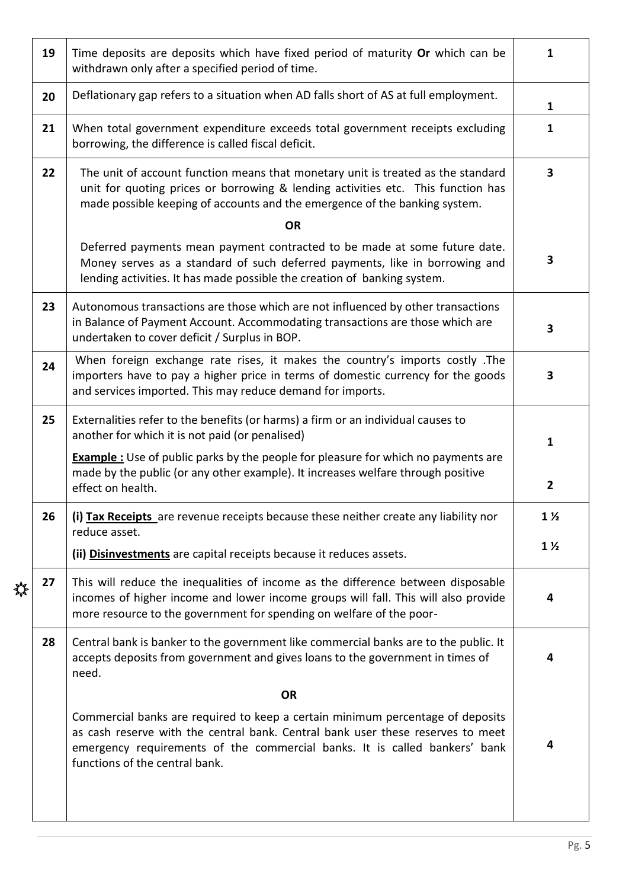|   | 19 | Time deposits are deposits which have fixed period of maturity Or which can be<br>withdrawn only after a specified period of time.                                                                                                                                                | 1                       |
|---|----|-----------------------------------------------------------------------------------------------------------------------------------------------------------------------------------------------------------------------------------------------------------------------------------|-------------------------|
|   | 20 | Deflationary gap refers to a situation when AD falls short of AS at full employment.                                                                                                                                                                                              | $\mathbf{1}$            |
|   | 21 | When total government expenditure exceeds total government receipts excluding<br>borrowing, the difference is called fiscal deficit.                                                                                                                                              | 1                       |
|   | 22 | The unit of account function means that monetary unit is treated as the standard<br>unit for quoting prices or borrowing & lending activities etc. This function has<br>made possible keeping of accounts and the emergence of the banking system.                                | $\overline{\mathbf{3}}$ |
|   |    | <b>OR</b>                                                                                                                                                                                                                                                                         |                         |
|   |    | Deferred payments mean payment contracted to be made at some future date.<br>Money serves as a standard of such deferred payments, like in borrowing and<br>lending activities. It has made possible the creation of banking system.                                              | 3                       |
|   | 23 | Autonomous transactions are those which are not influenced by other transactions<br>in Balance of Payment Account. Accommodating transactions are those which are<br>undertaken to cover deficit / Surplus in BOP.                                                                | 3                       |
|   | 24 | When foreign exchange rate rises, it makes the country's imports costly .The<br>importers have to pay a higher price in terms of domestic currency for the goods<br>and services imported. This may reduce demand for imports.                                                    | 3                       |
|   | 25 | Externalities refer to the benefits (or harms) a firm or an individual causes to<br>another for which it is not paid (or penalised)                                                                                                                                               | 1                       |
|   |    | <b>Example</b> : Use of public parks by the people for pleasure for which no payments are<br>made by the public (or any other example). It increases welfare through positive<br>effect on health.                                                                                | 2                       |
|   | 26 | (i) Tax Receipts are revenue receipts because these neither create any liability nor<br>reduce asset.                                                                                                                                                                             | $1\frac{1}{2}$          |
|   |    | (ii) Disinvestments are capital receipts because it reduces assets.                                                                                                                                                                                                               | $1\frac{1}{2}$          |
| ╬ | 27 | This will reduce the inequalities of income as the difference between disposable<br>incomes of higher income and lower income groups will fall. This will also provide<br>more resource to the government for spending on welfare of the poor-                                    | 4                       |
|   | 28 | Central bank is banker to the government like commercial banks are to the public. It<br>accepts deposits from government and gives loans to the government in times of<br>need.                                                                                                   | 4                       |
|   |    | <b>OR</b>                                                                                                                                                                                                                                                                         |                         |
|   |    | Commercial banks are required to keep a certain minimum percentage of deposits<br>as cash reserve with the central bank. Central bank user these reserves to meet<br>emergency requirements of the commercial banks. It is called bankers' bank<br>functions of the central bank. | 4                       |
|   |    |                                                                                                                                                                                                                                                                                   |                         |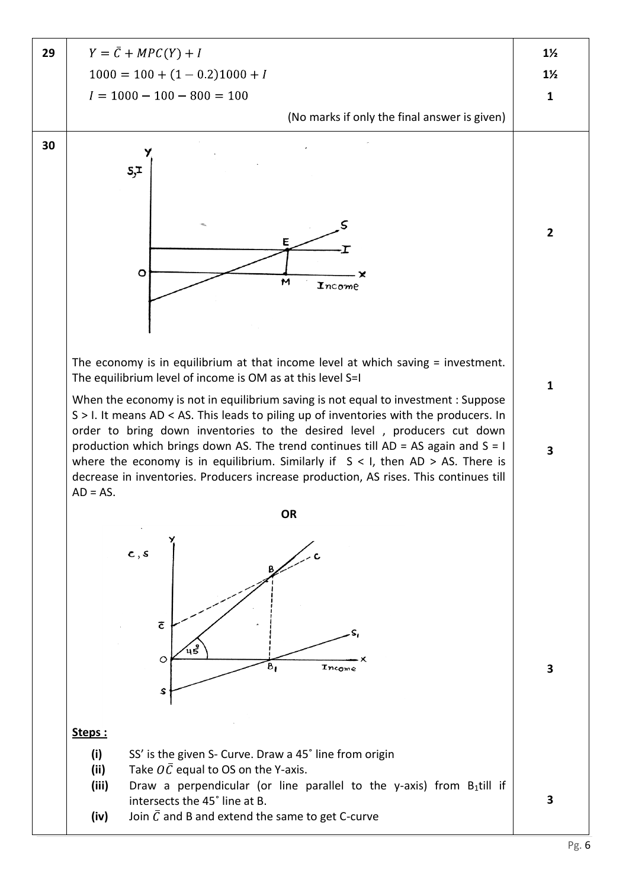